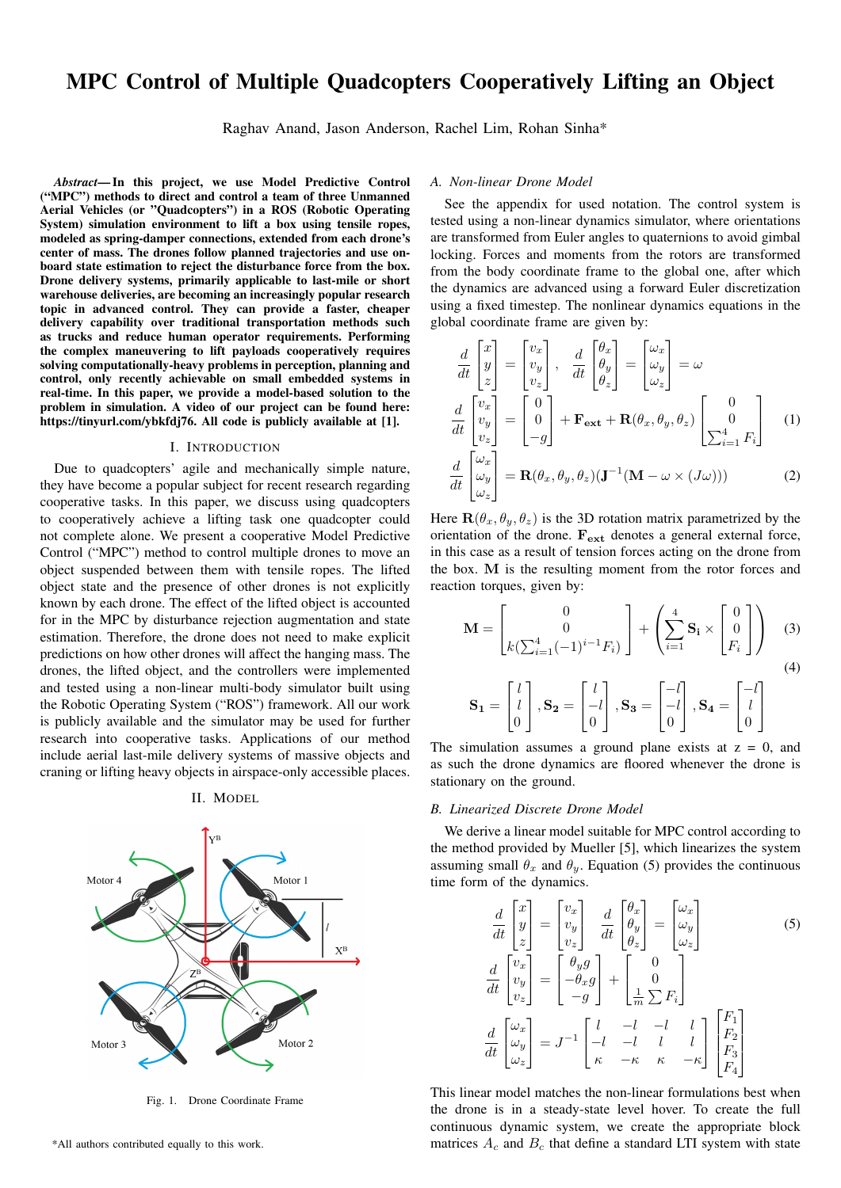# MPC Control of Multiple Quadcopters Cooperatively Lifting an Object

Raghav Anand, Jason Anderson, Rachel Lim, Rohan Sinha\*

*Abstract*— In this project, we use Model Predictive Control ("MPC") methods to direct and control a team of three Unmanned Aerial Vehicles (or "Quadcopters") in a ROS (Robotic Operating System) simulation environment to lift a box using tensile ropes, modeled as spring-damper connections, extended from each drone's center of mass. The drones follow planned trajectories and use onboard state estimation to reject the disturbance force from the box. Drone delivery systems, primarily applicable to last-mile or short warehouse deliveries, are becoming an increasingly popular research topic in advanced control. They can provide a faster, cheaper delivery capability over traditional transportation methods such as trucks and reduce human operator requirements. Performing the complex maneuvering to lift payloads cooperatively requires solving computationally-heavy problems in perception, planning and control, only recently achievable on small embedded systems in real-time. In this paper, we provide a model-based solution to the problem in simulation. A video of our project can be found here: https://tinyurl.com/ybkfdj76. All code is publicly available at [1].

### I. INTRODUCTION

Due to quadcopters' agile and mechanically simple nature, they have become a popular subject for recent research regarding cooperative tasks. In this paper, we discuss using quadcopters to cooperatively achieve a lifting task one quadcopter could not complete alone. We present a cooperative Model Predictive Control ("MPC") method to control multiple drones to move an object suspended between them with tensile ropes. The lifted object state and the presence of other drones is not explicitly known by each drone. The effect of the lifted object is accounted for in the MPC by disturbance rejection augmentation and state estimation. Therefore, the drone does not need to make explicit predictions on how other drones will affect the hanging mass. The drones, the lifted object, and the controllers were implemented and tested using a non-linear multi-body simulator built using the Robotic Operating System ("ROS") framework. All our work is publicly available and the simulator may be used for further research into cooperative tasks. Applications of our method include aerial last-mile delivery systems of massive objects and craning or lifting heavy objects in airspace-only accessible places.

II. MODEL



Fig. 1. Drone Coordinate Frame

# *A. Non-linear Drone Model*

See the appendix for used notation. The control system is tested using a non-linear dynamics simulator, where orientations are transformed from Euler angles to quaternions to avoid gimbal locking. Forces and moments from the rotors are transformed from the body coordinate frame to the global one, after which the dynamics are advanced using a forward Euler discretization using a fixed timestep. The nonlinear dynamics equations in the global coordinate frame are given by:

$$
\frac{d}{dt} \begin{bmatrix} x \\ y \\ z \end{bmatrix} = \begin{bmatrix} v_x \\ v_y \\ v_z \end{bmatrix}, \quad \frac{d}{dt} \begin{bmatrix} \theta_x \\ \theta_y \\ \theta_z \end{bmatrix} = \begin{bmatrix} \omega_x \\ \omega_y \\ \omega_z \end{bmatrix} = \omega
$$
\n
$$
\frac{d}{dt} \begin{bmatrix} v_x \\ v_y \\ v_z \end{bmatrix} = \begin{bmatrix} 0 \\ 0 \\ -g \end{bmatrix} + \mathbf{F}_{\mathbf{ext}} + \mathbf{R}(\theta_x, \theta_y, \theta_z) \begin{bmatrix} 0 \\ 0 \\ \sum_{i=1}^4 F_i \end{bmatrix} \quad (1)
$$
\n
$$
\frac{d}{dt} \begin{bmatrix} \omega_x \\ \omega_y \\ \omega_z \end{bmatrix} = \mathbf{R}(\theta_x, \theta_y, \theta_z) (\mathbf{J}^{-1} (\mathbf{M} - \omega \times (J\omega))) \quad (2)
$$

Here  $\mathbf{R}(\theta_x, \theta_y, \theta_z)$  is the 3D rotation matrix parametrized by the orientation of the drone.  $F_{ext}$  denotes a general external force, in this case as a result of tension forces acting on the drone from the box. M is the resulting moment from the rotor forces and reaction torques, given by:

$$
\mathbf{M} = \begin{bmatrix} 0 \\ 0 \\ k(\sum_{i=1}^{4}(-1)^{i-1}F_i) \end{bmatrix} + \left(\sum_{i=1}^{4}\mathbf{S_i} \times \begin{bmatrix} 0 \\ 0 \\ F_i \end{bmatrix}\right) \tag{3}
$$

$$
\mathbf{S_1} = \begin{bmatrix} l \\ l \\ 0 \end{bmatrix}, \mathbf{S_2} = \begin{bmatrix} l \\ -l \\ 0 \end{bmatrix}, \mathbf{S_3} = \begin{bmatrix} -l \\ -l \\ 0 \end{bmatrix}, \mathbf{S_4} = \begin{bmatrix} -l \\ l \\ 0 \end{bmatrix}
$$

The simulation assumes a ground plane exists at  $z = 0$ , and as such the drone dynamics are floored whenever the drone is stationary on the ground.

# *B. Linearized Discrete Drone Model*

We derive a linear model suitable for MPC control according to the method provided by Mueller [5], which linearizes the system assuming small  $\theta_x$  and  $\theta_y$ . Equation (5) provides the continuous time form of the dynamics.

$$
\frac{d}{dt} \begin{bmatrix} x \\ y \\ z \end{bmatrix} = \begin{bmatrix} v_x \\ v_y \\ v_z \end{bmatrix} \frac{d}{dt} \begin{bmatrix} \theta_x \\ \theta_y \\ \theta_z \end{bmatrix} = \begin{bmatrix} \omega_x \\ \omega_y \\ \omega_z \end{bmatrix}
$$
\n
$$
\frac{d}{dt} \begin{bmatrix} v_x \\ v_y \\ v_z \end{bmatrix} = \begin{bmatrix} \theta_y g \\ -\theta_x g \\ -g \end{bmatrix} + \begin{bmatrix} 0 \\ 0 \\ \frac{1}{m} \sum F_i \end{bmatrix}
$$
\n
$$
\frac{d}{dt} \begin{bmatrix} \omega_x \\ \omega_y \\ \omega_z \end{bmatrix} = J^{-1} \begin{bmatrix} l & -l & -l & l \\ -l & -l & l & l \\ \kappa & -\kappa & \kappa & -\kappa \end{bmatrix} \begin{bmatrix} F_1 \\ F_2 \\ F_3 \\ F_4 \end{bmatrix}
$$

This linear model matches the non-linear formulations best when the drone is in a steady-state level hover. To create the full continuous dynamic system, we create the appropriate block matrices  $A_c$  and  $B_c$  that define a standard LTI system with state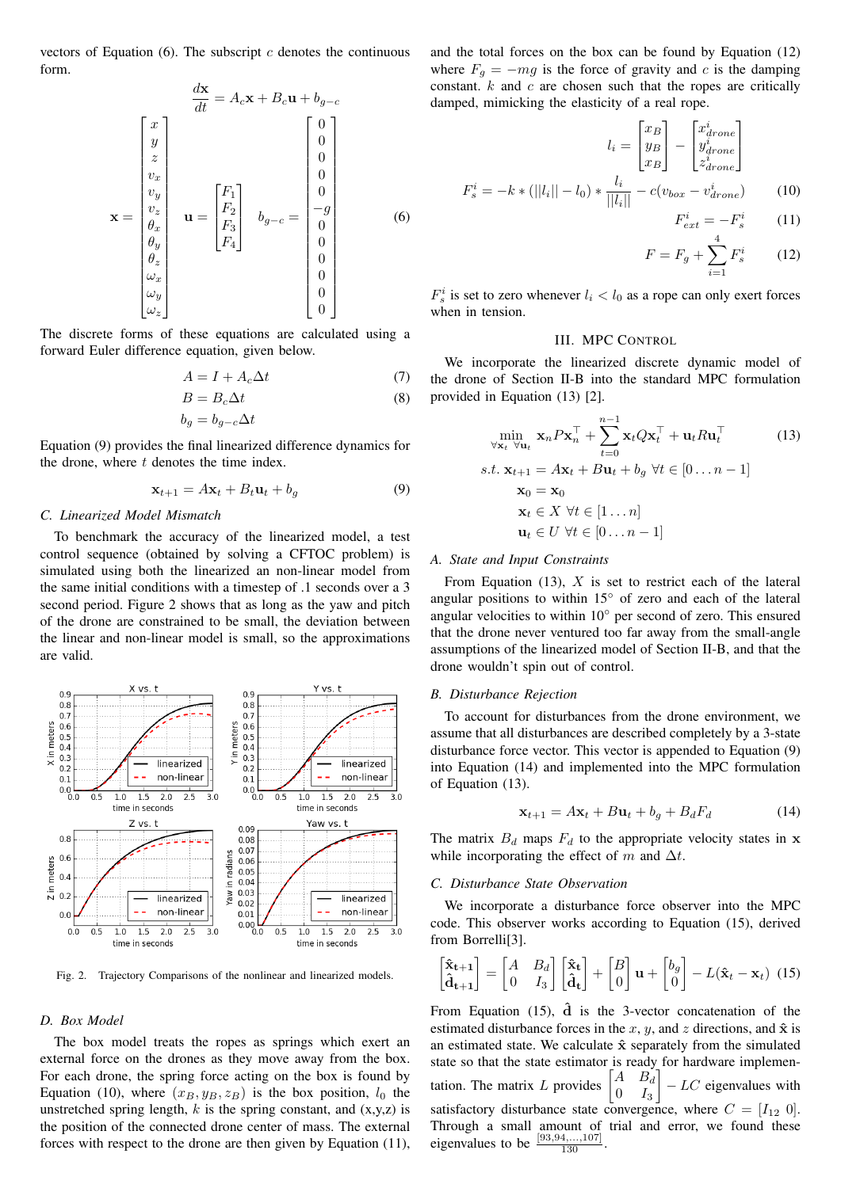vectors of Equation  $(6)$ . The subscript c denotes the continuous form.

$$
\frac{d\mathbf{x}}{dt} = A_c \mathbf{x} + B_c \mathbf{u} + b_{g-c}
$$
\n
$$
\begin{bmatrix} x \\ y \\ z \\ v_x \\ v_y \\ \theta_x \\ \theta_y \\ \theta_z \\ \omega_x \\ \omega_y \end{bmatrix} \mathbf{u} = \begin{bmatrix} F_1 \\ F_2 \\ F_3 \\ F_4 \end{bmatrix} \quad b_{g-c} = \begin{bmatrix} 0 \\ 0 \\ 0 \\ 0 \\ 0 \\ 0 \\ 0 \\ 0 \\ 0 \\ 0 \\ 0 \\ 0 \end{bmatrix}
$$
\n(6)

The discrete forms of these equations are calculated using a forward Euler difference equation, given below.

$$
A = I + A_c \Delta t \tag{7}
$$

$$
B = B_c \Delta t
$$
  
\n
$$
b_g = b_{g-c} \Delta t
$$
\n(8)

Equation (9) provides the final linearized difference dynamics for the drone, where  $t$  denotes the time index.

$$
\mathbf{x}_{t+1} = A\mathbf{x}_t + B_t \mathbf{u}_t + b_g \tag{9}
$$

# *C. Linearized Model Mismatch*

To benchmark the accuracy of the linearized model, a test control sequence (obtained by solving a CFTOC problem) is simulated using both the linearized an non-linear model from the same initial conditions with a timestep of .1 seconds over a 3 second period. Figure 2 shows that as long as the yaw and pitch of the drone are constrained to be small, the deviation between the linear and non-linear model is small, so the approximations are valid.



Fig. 2. Trajectory Comparisons of the nonlinear and linearized models.

#### *D. Box Model*

The box model treats the ropes as springs which exert an external force on the drones as they move away from the box. For each drone, the spring force acting on the box is found by Equation (10), where  $(x_B, y_B, z_B)$  is the box position,  $l_0$  the unstretched spring length,  $k$  is the spring constant, and  $(x,y,z)$  is the position of the connected drone center of mass. The external forces with respect to the drone are then given by Equation (11), and the total forces on the box can be found by Equation (12) where  $F_q = -mg$  is the force of gravity and c is the damping constant.  $k$  and  $c$  are chosen such that the ropes are critically damped, mimicking the elasticity of a real rope.

$$
l_i = \begin{bmatrix} x_B \\ y_B \\ x_B \end{bmatrix} - \begin{bmatrix} x_{drone}^i \\ y_{drone}^i \\ z_{drone}^i \end{bmatrix}
$$

$$
F_s^i = -k * (||l_i|| - l_0) * \frac{l_i}{||l_i||} - c(v_{box} - v_{drone}^i)
$$
(10)

$$
F_{ext}^i = -F_s^i \qquad (11)
$$

$$
F = F_g + \sum_{i=1}^{4} F_s^i \qquad (12)
$$

 $F_s^i$  is set to zero whenever  $l_i < l_0$  as a rope can only exert forces when in tension.

### III. MPC CONTROL

We incorporate the linearized discrete dynamic model of the drone of Section II-B into the standard MPC formulation provided in Equation (13) [2].

$$
\min_{\forall \mathbf{x}_t} \mathbf{x}_n P \mathbf{x}_n^\top + \sum_{t=0}^{n-1} \mathbf{x}_t Q \mathbf{x}_t^\top + \mathbf{u}_t R \mathbf{u}_t^\top
$$
(13)  
s.t.  $\mathbf{x}_{t+1} = A \mathbf{x}_t + B \mathbf{u}_t + b_g \ \forall t \in [0 \dots n-1]$   
 $\mathbf{x}_0 = \mathbf{x}_0$   
 $\mathbf{x}_t \in X \ \forall t \in [1 \dots n]$   
 $\mathbf{u}_t \in U \ \forall t \in [0 \dots n-1]$ 

#### *A. State and Input Constraints*

From Equation (13),  $X$  is set to restrict each of the lateral angular positions to within  $15<sup>°</sup>$  of zero and each of the lateral angular velocities to within 10◦ per second of zero. This ensured that the drone never ventured too far away from the small-angle assumptions of the linearized model of Section II-B, and that the drone wouldn't spin out of control.

### *B. Disturbance Rejection*

To account for disturbances from the drone environment, we assume that all disturbances are described completely by a 3-state disturbance force vector. This vector is appended to Equation (9) into Equation (14) and implemented into the MPC formulation of Equation (13).

$$
\mathbf{x}_{t+1} = A\mathbf{x}_t + B\mathbf{u}_t + b_g + B_d F_d \tag{14}
$$

The matrix  $B_d$  maps  $F_d$  to the appropriate velocity states in x while incorporating the effect of m and  $\Delta t$ .

### *C. Disturbance State Observation*

We incorporate a disturbance force observer into the MPC code. This observer works according to Equation (15), derived from Borrelli[3].

$$
\begin{bmatrix} \hat{\mathbf{x}}_{t+1} \\ \hat{\mathbf{d}}_{t+1} \end{bmatrix} = \begin{bmatrix} A & B_d \\ 0 & I_3 \end{bmatrix} \begin{bmatrix} \hat{\mathbf{x}}_t \\ \hat{\mathbf{d}}_t \end{bmatrix} + \begin{bmatrix} B \\ 0 \end{bmatrix} \mathbf{u} + \begin{bmatrix} b_g \\ 0 \end{bmatrix} - L(\hat{\mathbf{x}}_t - \mathbf{x}_t) \tag{15}
$$

From Equation (15),  $\hat{d}$  is the 3-vector concatenation of the estimated disturbance forces in the x, y, and z directions, and  $\hat{x}$  is an estimated state. We calculate  $\hat{x}$  separately from the simulated state so that the state estimator is ready for hardware implementation. The matrix L provides  $\begin{bmatrix} A & B_d \ A & I \end{bmatrix}$  $0$   $I_3$  $\Big] - LC$  eigenvalues with satisfactory disturbance state convergence, where  $C = [I_{12} \ 0]$ . Through a small amount of trial and error, we found these eigenvalues to be  $\frac{[93,94,...,107]}{130}$ .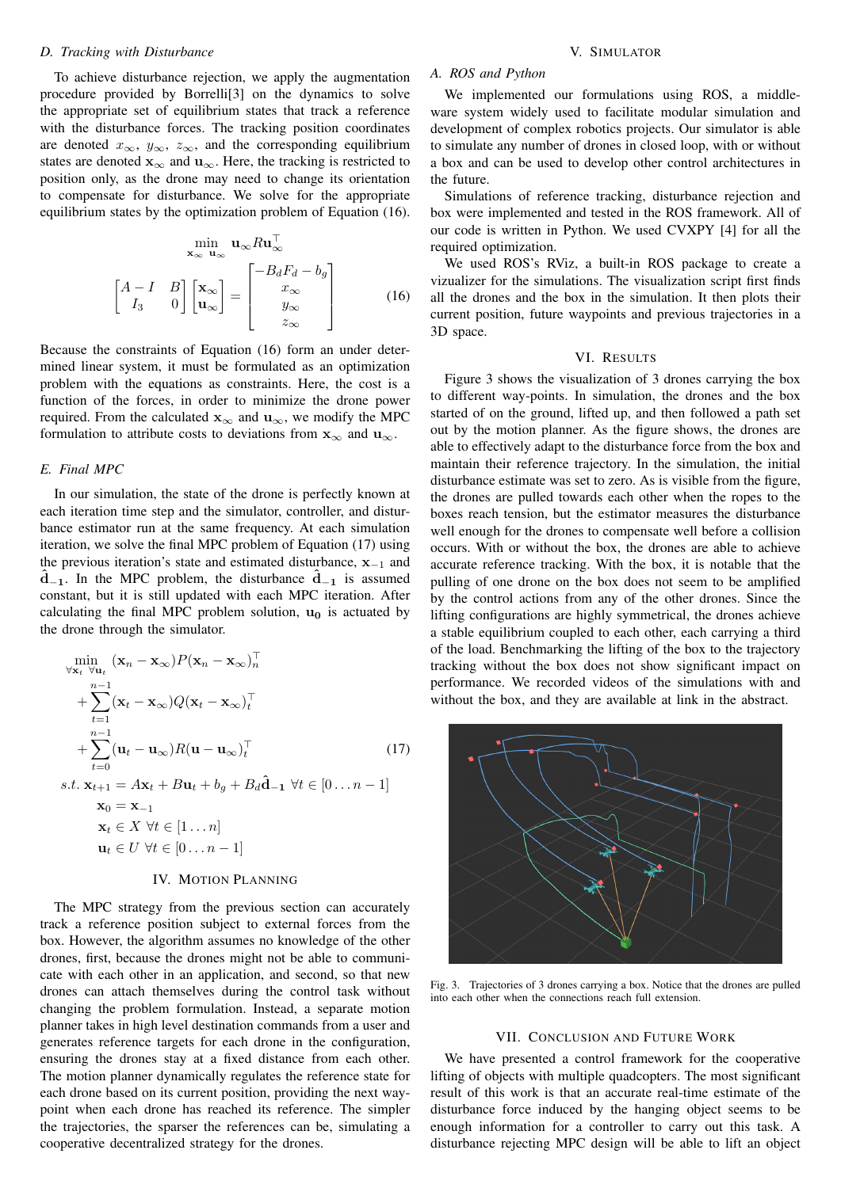# *D. Tracking with Disturbance*

To achieve disturbance rejection, we apply the augmentation procedure provided by Borrelli[3] on the dynamics to solve the appropriate set of equilibrium states that track a reference with the disturbance forces. The tracking position coordinates are denoted  $x_{\infty}$ ,  $y_{\infty}$ ,  $z_{\infty}$ , and the corresponding equilibrium states are denoted  $\mathbf{x}_{\infty}$  and  $\mathbf{u}_{\infty}$ . Here, the tracking is restricted to position only, as the drone may need to change its orientation to compensate for disturbance. We solve for the appropriate equilibrium states by the optimization problem of Equation (16).

$$
\min_{\mathbf{x}_{\infty}} \mathbf{u}_{\infty} R \mathbf{u}_{\infty}^{\top}
$$
\n
$$
\begin{bmatrix}\nA - I & B \\
I_3 & 0\n\end{bmatrix}\n\begin{bmatrix}\n\mathbf{x}_{\infty} \\
\mathbf{u}_{\infty}\n\end{bmatrix} =\n\begin{bmatrix}\n-B_d F_d - b_g \\
x_{\infty} \\
y_{\infty} \\
z_{\infty}\n\end{bmatrix}
$$
\n(16)

Because the constraints of Equation (16) form an under determined linear system, it must be formulated as an optimization problem with the equations as constraints. Here, the cost is a function of the forces, in order to minimize the drone power required. From the calculated  $\mathbf{x}_{\infty}$  and  $\mathbf{u}_{\infty}$ , we modify the MPC formulation to attribute costs to deviations from  $x_{\infty}$  and  $u_{\infty}$ .

# *E. Final MPC*

In our simulation, the state of the drone is perfectly known at each iteration time step and the simulator, controller, and disturbance estimator run at the same frequency. At each simulation iteration, we solve the final MPC problem of Equation (17) using the previous iteration's state and estimated disturbance,  $x_{-1}$  and  $\hat{d}_{-1}$ . In the MPC problem, the disturbance  $\hat{d}_{-1}$  is assumed constant, but it is still updated with each MPC iteration. After calculating the final MPC problem solution,  $\mathbf{u}_0$  is actuated by the drone through the simulator.

$$
\min_{\forall \mathbf{x}_t} (\mathbf{x}_n - \mathbf{x}_{\infty}) P(\mathbf{x}_n - \mathbf{x}_{\infty})_n^{\top}
$$
\n
$$
+ \sum_{t=1}^{n-1} (\mathbf{x}_t - \mathbf{x}_{\infty}) Q(\mathbf{x}_t - \mathbf{x}_{\infty})_t^{\top}
$$
\n
$$
+ \sum_{t=0}^{n-1} (\mathbf{u}_t - \mathbf{u}_{\infty}) R(\mathbf{u} - \mathbf{u}_{\infty})_t^{\top}
$$
\n
$$
s.t. \mathbf{x}_{t+1} = A\mathbf{x}_t + B\mathbf{u}_t + b_g + B_d \hat{\mathbf{d}}_{-1} \ \forall t \in [0...n-1]
$$
\n
$$
\mathbf{x}_0 = \mathbf{x}_{-1}
$$
\n
$$
\mathbf{x}_t \in X \ \forall t \in [1...n]
$$
\n
$$
\mathbf{u}_t \in U \ \forall t \in [0...n-1]
$$
\n(17)

### IV. MOTION PLANNING

The MPC strategy from the previous section can accurately track a reference position subject to external forces from the box. However, the algorithm assumes no knowledge of the other drones, first, because the drones might not be able to communicate with each other in an application, and second, so that new drones can attach themselves during the control task without changing the problem formulation. Instead, a separate motion planner takes in high level destination commands from a user and generates reference targets for each drone in the configuration, ensuring the drones stay at a fixed distance from each other. The motion planner dynamically regulates the reference state for each drone based on its current position, providing the next waypoint when each drone has reached its reference. The simpler the trajectories, the sparser the references can be, simulating a cooperative decentralized strategy for the drones.

## V. SIMULATOR

### *A. ROS and Python*

We implemented our formulations using ROS, a middleware system widely used to facilitate modular simulation and development of complex robotics projects. Our simulator is able to simulate any number of drones in closed loop, with or without a box and can be used to develop other control architectures in the future.

Simulations of reference tracking, disturbance rejection and box were implemented and tested in the ROS framework. All of our code is written in Python. We used CVXPY [4] for all the required optimization.

We used ROS's RViz, a built-in ROS package to create a vizualizer for the simulations. The visualization script first finds all the drones and the box in the simulation. It then plots their current position, future waypoints and previous trajectories in a 3D space.

#### VI. RESULTS

Figure 3 shows the visualization of 3 drones carrying the box to different way-points. In simulation, the drones and the box started of on the ground, lifted up, and then followed a path set out by the motion planner. As the figure shows, the drones are able to effectively adapt to the disturbance force from the box and maintain their reference trajectory. In the simulation, the initial disturbance estimate was set to zero. As is visible from the figure, the drones are pulled towards each other when the ropes to the boxes reach tension, but the estimator measures the disturbance well enough for the drones to compensate well before a collision occurs. With or without the box, the drones are able to achieve accurate reference tracking. With the box, it is notable that the pulling of one drone on the box does not seem to be amplified by the control actions from any of the other drones. Since the lifting configurations are highly symmetrical, the drones achieve a stable equilibrium coupled to each other, each carrying a third of the load. Benchmarking the lifting of the box to the trajectory tracking without the box does not show significant impact on performance. We recorded videos of the simulations with and without the box, and they are available at link in the abstract.



Fig. 3. Trajectories of 3 drones carrying a box. Notice that the drones are pulled into each other when the connections reach full extension.

### VII. CONCLUSION AND FUTURE WORK

We have presented a control framework for the cooperative lifting of objects with multiple quadcopters. The most significant result of this work is that an accurate real-time estimate of the disturbance force induced by the hanging object seems to be enough information for a controller to carry out this task. A disturbance rejecting MPC design will be able to lift an object